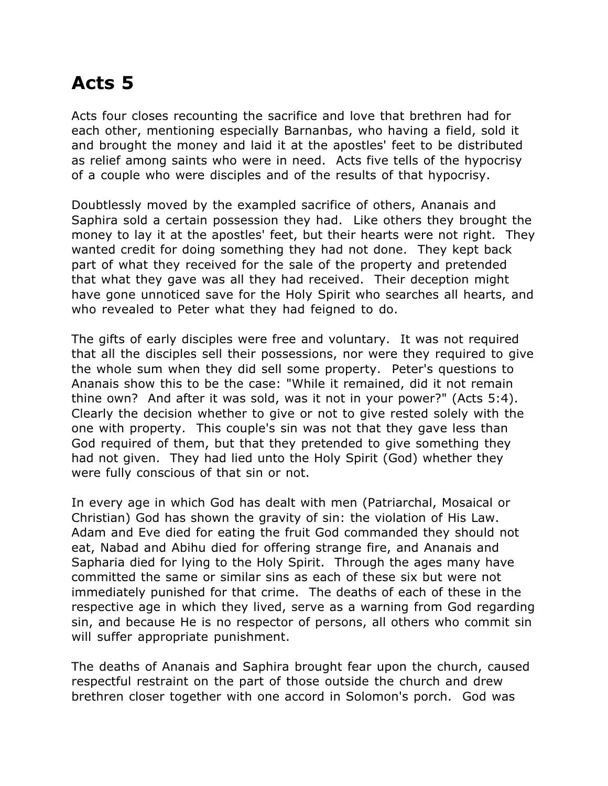## **Acts 5**

Acts four closes recounting the sacrifice and love that brethren had for each other, mentioning especially Barnanbas, who having a field, sold it and brought the money and laid it at the apostles' feet to be distributed as relief among saints who were in need. Acts five tells of the hypocrisy of a couple who were disciples and of the results of that hypocrisy.

Doubtlessly moved by the exampled sacrifice of others, Ananais and Saphira sold a certain possession they had. Like others they brought the money to lay it at the apostles' feet, but their hearts were not right. They wanted credit for doing something they had not done. They kept back part of what they received for the sale of the property and pretended that what they gave was all they had received. Their deception might have gone unnoticed save for the Holy Spirit who searches all hearts, and who revealed to Peter what they had feigned to do.

The gifts of early disciples were free and voluntary. It was not required that all the disciples sell their possessions, nor were they required to give the whole sum when they did sell some property. Peter's questions to Ananais show this to be the case: "While it remained, did it not remain thine own? And after it was sold, was it not in your power?" (Acts 5:4). Clearly the decision whether to give or not to give rested solely with the one with property. This couple's sin was not that they gave less than God required of them, but that they pretended to give something they had not given. They had lied unto the Holy Spirit (God) whether they were fully conscious of that sin or not.

In every age in which God has dealt with men (Patriarchal, Mosaical or Christian) God has shown the gravity of sin: the violation of His Law. Adam and Eve died for eating the fruit God commanded they should not eat, Nabad and Abihu died for offering strange fire, and Ananais and Sapharia died for lying to the Holy Spirit. Through the ages many have committed the same or similar sins as each of these six but were not immediately punished for that crime. The deaths of each of these in the respective age in which they lived, serve as a warning from God regarding sin, and because He is no respector of persons, all others who commit sin will suffer appropriate punishment.

The deaths of Ananais and Saphira brought fear upon the church, caused respectful restraint on the part of those outside the church and drew brethren closer together with one accord in Solomon's porch. God was